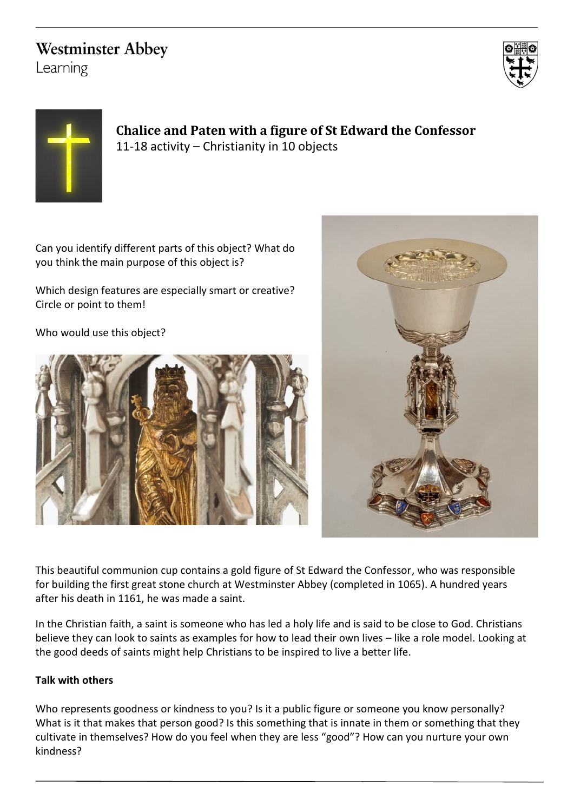## **Westminster Abbey**

Learning





**Chalice and Paten with a figure of St Edward the Confessor** 11-18 activity – Christianity in 10 objects

Can you identify different parts of this object? What do you think the main purpose of this object is?

Which design features are especially smart or creative? Circle or point to them!

Who would use this object?





This beautiful communion cup contains a gold figure of St Edward the Confessor, who was responsible for building the first great stone church at Westminster Abbey (completed in 1065). A hundred years after his death in 1161, he was made a saint.

In the Christian faith, a saint is someone who has led a holy life and is said to be close to God. Christians believe they can look to saints as examples for how to lead their own lives – like a role model. Looking at the good deeds of saints might help Christians to be inspired to live a better life.

## **Talk with others**

Who represents goodness or kindness to you? Is it a public figure or someone you know personally? What is it that makes that person good? Is this something that is innate in them or something that they cultivate in themselves? How do you feel when they are less "good"? How can you nurture your own kindness?